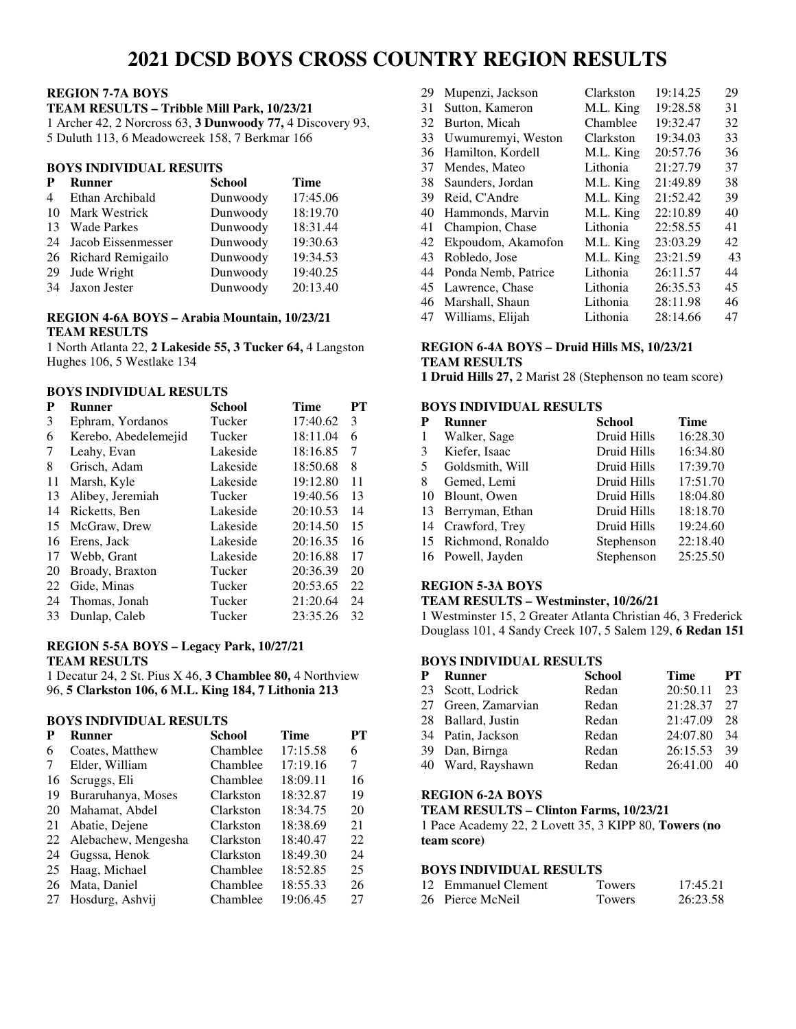# **2021 DCSD BOYS CROSS COUNTRY REGION RESULTS**

# **REGION 7-7A BOYS**

**TEAM RESULTS – Tribble Mill Park, 10/23/21** 

1 Archer 42, 2 Norcross 63, **3 Dunwoody 77,** 4 Discovery 93,

5 Duluth 113, 6 Meadowcreek 158, 7 Berkmar 166

# **BOYS INDIVIDUAL RESUlTS**

| P                        | <b>Runner</b>         | <b>School</b> | <b>Time</b> |
|--------------------------|-----------------------|---------------|-------------|
| $\overline{\mathcal{A}}$ | Ethan Archibald       | Dunwoody      | 17:45.06    |
|                          | 10 Mark Westrick      | Dunwoody      | 18:19.70    |
|                          | 13 Wade Parkes        | Dunwoody      | 18:31.44    |
|                          | 24 Jacob Eissenmesser | Dunwoody      | 19:30.63    |
|                          | 26 Richard Remigailo  | Dunwoody      | 19:34.53    |
| 29                       | Jude Wright           | Dunwoody      | 19:40.25    |
|                          | 34 Jaxon Jester       | Dunwoody      | 20:13.40    |

# **REGION 4-6A BOYS – Arabia Mountain, 10/23/21 TEAM RESULTS**

1 North Atlanta 22, **2 Lakeside 55, 3 Tucker 64,** 4 Langston Hughes 106, 5 Westlake 134

### **BOYS INDIVIDUAL RESULTS**

| P  | Runner               | <b>School</b> | Time     | PТ |
|----|----------------------|---------------|----------|----|
| 3  | Ephram, Yordanos     | Tucker        | 17:40.62 | 3  |
| 6  | Kerebo, Abedelemejid | Tucker        | 18:11.04 | 6  |
| 7  | Leahy, Evan          | Lakeside      | 18:16.85 | 7  |
| 8  | Grisch, Adam         | Lakeside      | 18:50.68 | 8  |
| 11 | Marsh, Kyle          | Lakeside      | 19:12.80 | 11 |
| 13 | Alibey, Jeremiah     | Tucker        | 19:40.56 | 13 |
| 14 | Ricketts, Ben        | Lakeside      | 20:10.53 | 14 |
| 15 | McGraw, Drew         | Lakeside      | 20:14.50 | 15 |
| 16 | Erens, Jack          | Lakeside      | 20:16.35 | 16 |
| 17 | Webb, Grant          | Lakeside      | 20:16.88 | 17 |
| 20 | Broady, Braxton      | Tucker        | 20:36.39 | 20 |
| 22 | Gide, Minas          | Tucker        | 20:53.65 | 22 |
| 24 | Thomas, Jonah        | Tucker        | 21:20.64 | 24 |
| 33 | Dunlap, Caleb        | Tucker        | 23:35.26 | 32 |

# **REGION 5-5A BOYS – Legacy Park, 10/27/21 TEAM RESULTS**

1 Decatur 24, 2 St. Pius X 46, **3 Chamblee 80,** 4 Northview 96, **5 Clarkston 106, 6 M.L. King 184, 7 Lithonia 213**

# **BOYS INDIVIDUAL RESULTS**

| P  | <b>Runner</b>          | School    | <b>Time</b> | PТ |
|----|------------------------|-----------|-------------|----|
| 6  | Coates, Matthew        | Chamblee  | 17:15.58    | 6  |
| 7  | Elder, William         | Chamblee  | 17:19.16    | 7  |
| 16 | Scruggs, Eli           | Chamblee  | 18:09.11    | 16 |
| 19 | Buraruhanya, Moses     | Clarkston | 18:32.87    | 19 |
|    | 20 Mahamat, Abdel      | Clarkston | 18:34.75    | 20 |
| 21 | Abatie, Dejene         | Clarkston | 18:38.69    | 21 |
|    | 22 Alebachew, Mengesha | Clarkston | 18:40.47    | 22 |
|    | 24 Gugssa, Henok       | Clarkston | 18:49.30    | 24 |
|    | 25 Haag, Michael       | Chamblee  | 18:52.85    | 25 |
| 26 | Mata, Daniel           | Chamblee  | 18:55.33    | 26 |
| 27 | Hosdurg, Ashvij        | Chamblee  | 19:06.45    | 27 |
|    |                        |           |             |    |

| 29 | Mupenzi, Jackson    | Clarkston | 19:14.25 | 29 |
|----|---------------------|-----------|----------|----|
| 31 | Sutton, Kameron     | M.L. King | 19:28.58 | 31 |
| 32 | Burton, Micah       | Chamblee  | 19:32.47 | 32 |
| 33 | Uwumuremyi, Weston  | Clarkston | 19:34.03 | 33 |
| 36 | Hamilton, Kordell   | M.L. King | 20:57.76 | 36 |
| 37 | Mendes, Mateo       | Lithonia  | 21:27.79 | 37 |
| 38 | Saunders, Jordan    | M.L. King | 21:49.89 | 38 |
| 39 | Reid, C'Andre       | M.L. King | 21:52.42 | 39 |
| 40 | Hammonds, Marvin    | M.L. King | 22:10.89 | 40 |
| 41 | Champion, Chase     | Lithonia  | 22:58.55 | 41 |
| 42 | Ekpoudom, Akamofon  | M.L. King | 23:03.29 | 42 |
| 43 | Robledo, Jose       | M.L. King | 23:21.59 | 43 |
| 44 | Ponda Nemb, Patrice | Lithonia  | 26:11.57 | 44 |
| 45 | Lawrence, Chase     | Lithonia  | 26:35.53 | 45 |
| 46 | Marshall, Shaun     | Lithonia  | 28:11.98 | 46 |
| 47 | Williams, Elijah    | Lithonia  | 28:14.66 | 47 |

# **REGION 6-4A BOYS – Druid Hills MS, 10/23/21 TEAM RESULTS**

**1 Druid Hills 27,** 2 Marist 28 (Stephenson no team score)

# **BOYS INDIVIDUAL RESULTS**

| P  | <b>Runner</b>        | <b>School</b> | Time     |
|----|----------------------|---------------|----------|
| 1  | Walker, Sage         | Druid Hills   | 16:28.30 |
| 3  | Kiefer, Isaac        | Druid Hills   | 16:34.80 |
| 5. | Goldsmith, Will      | Druid Hills   | 17:39.70 |
| 8  | Gemed, Lemi          | Druid Hills   | 17:51.70 |
|    | 10 Blount, Owen      | Druid Hills   | 18:04.80 |
|    | 13 Berryman, Ethan   | Druid Hills   | 18:18.70 |
|    | 14 Crawford, Trey    | Druid Hills   | 19:24.60 |
|    | 15 Richmond, Ronaldo | Stephenson    | 22:18.40 |
|    | 16 Powell, Jayden    | Stephenson    | 25:25.50 |
|    |                      |               |          |

# **REGION 5-3A BOYS**

# **TEAM RESULTS – Westminster, 10/26/21**

1 Westminster 15, 2 Greater Atlanta Christian 46, 3 Frederick Douglass 101, 4 Sandy Creek 107, 5 Salem 129, **6 Redan 151** 

# **BOYS INDIVIDUAL RESULTS**

| P Runner            | <b>School</b> | Time     | PТ |
|---------------------|---------------|----------|----|
| 23 Scott, Lodrick   | Redan         | 20:50.11 | 23 |
| 27 Green, Zamarvian | Redan         | 21:28.37 | 27 |
| 28 Ballard, Justin  | Redan         | 21:47.09 | 28 |
| 34 Patin, Jackson   | Redan         | 24:07.80 | 34 |
| 39 Dan, Birnga      | Redan         | 26:15.53 | 39 |
| 40 Ward, Rayshawn   | Redan         | 26:41.00 | 40 |

#### **REGION 6-2A BOYS**

#### **TEAM RESULTS – Clinton Farms, 10/23/21**

1 Pace Academy 22, 2 Lovett 35, 3 KIPP 80, **Towers (no team score)**

# **BOYS INDIVIDUAL RESULTS**

| 12 Emmanuel Clement | <b>Towers</b> | 17:45.21 |
|---------------------|---------------|----------|
| 26 Pierce McNeil    | <b>Towers</b> | 26:23.58 |